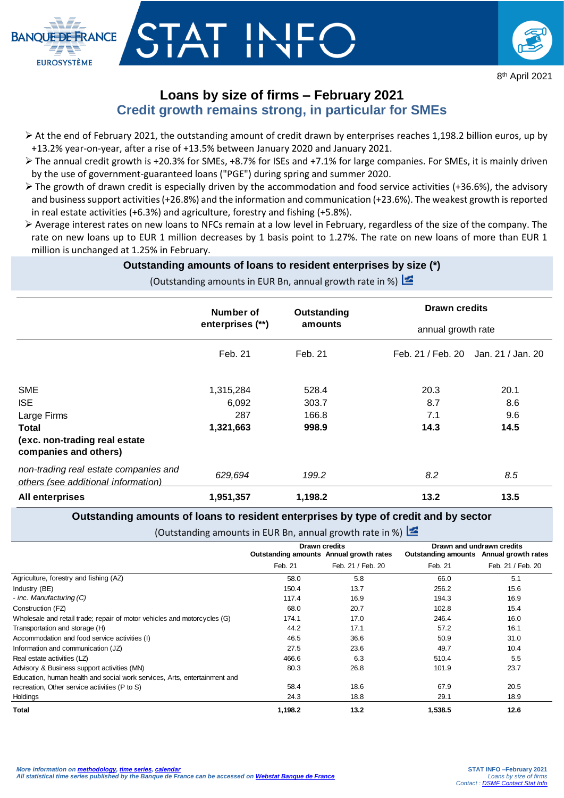

## TAT INIE



## **Loans by size of firms – February 2021 Credit growth remains strong, in particular for SMEs**

- $\triangleright$  At the end of February 2021, the outstanding amount of credit drawn by enterprises reaches 1,198.2 billion euros, up by +13.2% year-on-year, after a rise of +13.5% between January 2020 and January 2021.
- $\triangleright$  The annual credit growth is +20.3% for SMEs, +8.7% for ISEs and +7.1% for large companies. For SMEs, it is mainly driven by the use of government-guaranteed loans ("PGE") during spring and summer 2020.
- $\triangleright$  The growth of drawn credit is especially driven by the accommodation and food service activities (+36.6%), the advisory and business support activities (+26.8%) and the information and communication (+23.6%). The weakest growth is reported in real estate activities (+6.3%) and agriculture, forestry and fishing (+5.8%).
- Average interest rates on new loans to NFCs remain at a low level in February, regardless of the size of the company. The rate on new loans up to EUR 1 million decreases by 1 basis point to 1.27%. The rate on new loans of more than EUR 1 million is unchanged at 1.25% in February.

## **Outstanding amounts of loans to resident enterprises by size (\*)**

(Outstanding amounts in EUR Bn, annual growth rate in %)

|                                                                              | Number of<br>enterprises (**) | Outstanding<br>amounts | <b>Drawn credits</b><br>annual growth rate |                   |
|------------------------------------------------------------------------------|-------------------------------|------------------------|--------------------------------------------|-------------------|
|                                                                              |                               |                        |                                            |                   |
|                                                                              | Feb. 21                       | Feb. 21                | Feb. 21 / Feb. 20                          | Jan. 21 / Jan. 20 |
| <b>SME</b>                                                                   | 1,315,284                     | 528.4                  | 20.3                                       | 20.1              |
| <b>ISE</b>                                                                   | 6,092                         | 303.7                  | 8.7                                        | 8.6               |
| Large Firms                                                                  | 287                           | 166.8                  | 7.1                                        | 9.6               |
| Total                                                                        | 1,321,663                     | 998.9                  | 14.3                                       | 14.5              |
| (exc. non-trading real estate<br>companies and others)                       |                               |                        |                                            |                   |
| non-trading real estate companies and<br>others (see additional information) | 629,694                       | 199.2                  | 8.2                                        | 8.5               |
| <b>All enterprises</b>                                                       | 1,951,357                     | 1,198.2                | 13.2                                       | 13.5              |

**Outstanding amounts of loans to resident enterprises by type of credit and by sector**

(Outstanding amounts in EUR Bn, annual growth rate in %)

|                                                                           | <b>Drawn credits</b>                    |                   | Drawn and undrawn credits               |                   |
|---------------------------------------------------------------------------|-----------------------------------------|-------------------|-----------------------------------------|-------------------|
|                                                                           | Outstanding amounts Annual growth rates |                   | Outstanding amounts Annual growth rates |                   |
|                                                                           | Feb. 21                                 | Feb. 21 / Feb. 20 | Feb. 21                                 | Feb. 21 / Feb. 20 |
| Agriculture, forestry and fishing (AZ)                                    | 58.0                                    | 5.8               | 66.0                                    | 5.1               |
| Industry (BE)                                                             | 150.4                                   | 13.7              | 256.2                                   | 15.6              |
| - inc. Manufacturing (C)                                                  | 117.4                                   | 16.9              | 194.3                                   | 16.9              |
| Construction (FZ)                                                         | 68.0                                    | 20.7              | 102.8                                   | 15.4              |
| Wholesale and retail trade; repair of motor vehicles and motorcycles (G)  | 174.1                                   | 17.0              | 246.4                                   | 16.0              |
| Transportation and storage (H)                                            | 44.2                                    | 17.1              | 57.2                                    | 16.1              |
| Accommodation and food service activities (I)                             | 46.5                                    | 36.6              | 50.9                                    | 31.0              |
| Information and communication (JZ)                                        | 27.5                                    | 23.6              | 49.7                                    | 10.4              |
| Real estate activities (LZ)                                               | 466.6                                   | 6.3               | 510.4                                   | 5.5               |
| Advisory & Business support activities (MN)                               | 80.3                                    | 26.8              | 101.9                                   | 23.7              |
| Education, human health and social work services, Arts, entertainment and |                                         |                   |                                         |                   |
| recreation, Other service activities (P to S)                             | 58.4                                    | 18.6              | 67.9                                    | 20.5              |
| Holdings                                                                  | 24.3                                    | 18.8              | 29.1                                    | 18.9              |
| Total                                                                     | 1,198.2                                 | 13.2              | 1,538.5                                 | 12.6              |